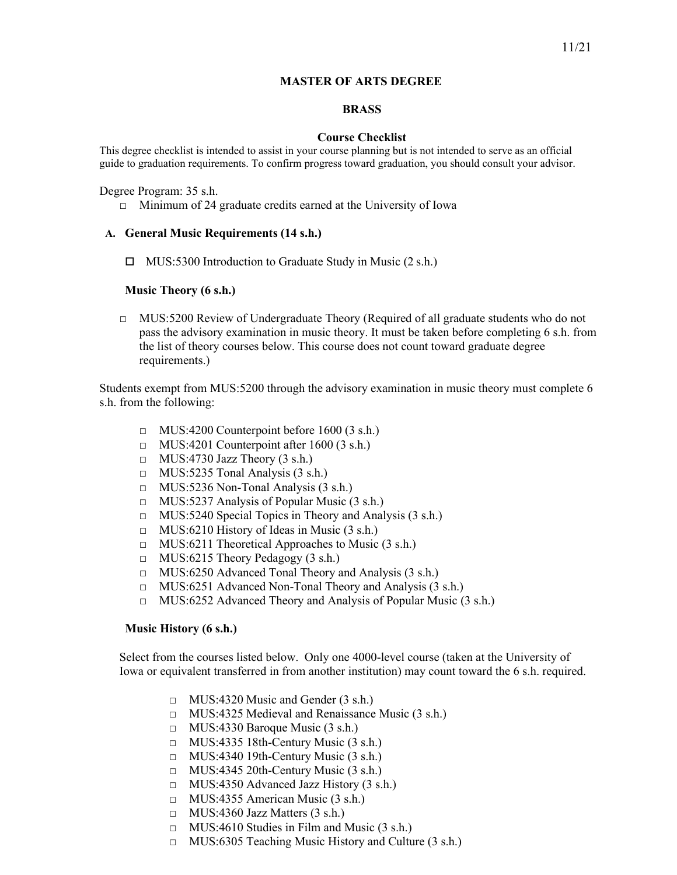### **MASTER OF ARTS DEGREE**

# **BRASS**

### **Course Checklist**

This degree checklist is intended to assist in your course planning but is not intended to serve as an official guide to graduation requirements. To confirm progress toward graduation, you should consult your advisor.

#### Degree Program: 35 s.h.

 $\Box$  Minimum of 24 graduate credits earned at the University of Iowa

### **A. General Music Requirements (14 s.h.)**

 $\Box$  MUS:5300 Introduction to Graduate Study in Music (2 s.h.)

### **Music Theory (6 s.h.)**

 $\Box$  MUS:5200 Review of Undergraduate Theory (Required of all graduate students who do not pass the advisory examination in music theory. It must be taken before completing 6 s.h. from the list of theory courses below. This course does not count toward graduate degree requirements.)

Students exempt from MUS:5200 through the advisory examination in music theory must complete 6 s.h. from the following:

- $\Box$  MUS:4200 Counterpoint before 1600 (3 s.h.)
- $\Box$  MUS:4201 Counterpoint after 1600 (3 s.h.)
- $\Box$  MUS:4730 Jazz Theory (3 s.h.)
- □ MUS:5235 Tonal Analysis (3 s.h.)
- $\Box$  MUS:5236 Non-Tonal Analysis (3 s.h.)
- $\Box$  MUS:5237 Analysis of Popular Music (3 s.h.)
- □ MUS:5240 Special Topics in Theory and Analysis (3 s.h.)
- $\Box$  MUS:6210 History of Ideas in Music (3 s.h.)
- □ MUS:6211 Theoretical Approaches to Music (3 s.h.)
- □ MUS:6215 Theory Pedagogy (3 s.h.)
- □ MUS:6250 Advanced Tonal Theory and Analysis (3 s.h.)
- □ MUS:6251 Advanced Non-Tonal Theory and Analysis (3 s.h.)
- □ MUS:6252 Advanced Theory and Analysis of Popular Music (3 s.h.)

#### **Music History (6 s.h.)**

Select from the courses listed below. Only one 4000-level course (taken at the University of Iowa or equivalent transferred in from another institution) may count toward the 6 s.h. required.

- $\Box$  MUS:4320 Music and Gender (3 s.h.)
- □ MUS:4325 Medieval and Renaissance Music (3 s.h.)
- $\Box$  MUS:4330 Baroque Music (3 s.h.)
- $\Box$  MUS:4335 18th-Century Music (3 s.h.)
- $\Box$  MUS:4340 19th-Century Music (3 s.h.)
- $\Box$  MUS:4345 20th-Century Music (3 s.h.)
- $\Box$  MUS:4350 Advanced Jazz History (3 s.h.)
- □ MUS:4355 American Music (3 s.h.)
- $\Box$  MUS:4360 Jazz Matters (3 s.h.)
- $\Box$  MUS:4610 Studies in Film and Music (3 s.h.)
- □ MUS:6305 Teaching Music History and Culture (3 s.h.)